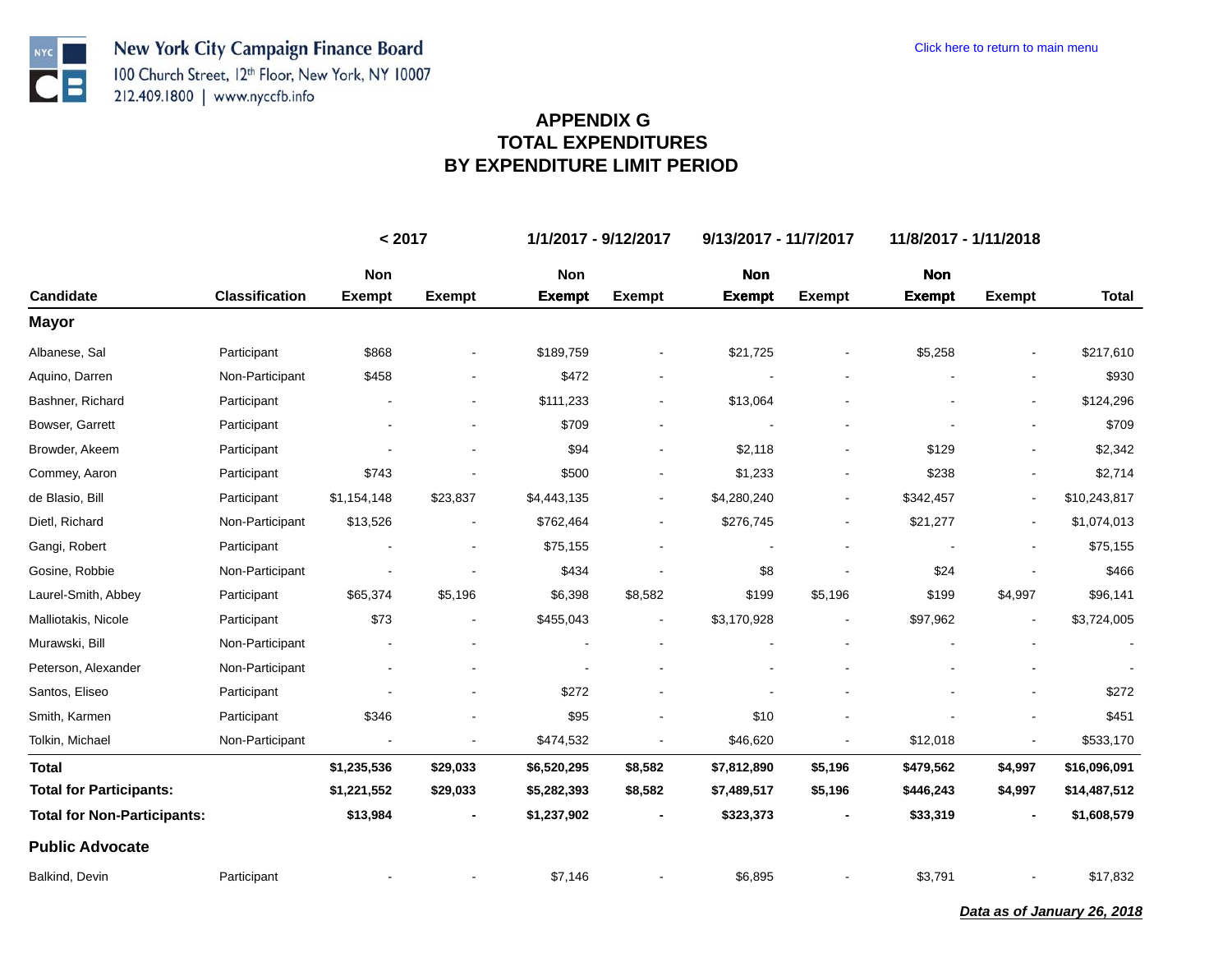**NYC** 

 $\bullet$   $\blacksquare$ 

| <b>Candidate</b>                   |                       | < 2017        |               | 1/1/2017 - 9/12/2017 |                | 9/13/2017 - 11/7/2017 |               | 11/8/2017 - 1/11/2018 |                          |                      |
|------------------------------------|-----------------------|---------------|---------------|----------------------|----------------|-----------------------|---------------|-----------------------|--------------------------|----------------------|
|                                    |                       | Non           |               | Non                  |                | <b>Non</b>            |               | <b>Non</b>            |                          |                      |
|                                    | <b>Classification</b> | <b>Exempt</b> | <b>Exempt</b> | <b>Exempt</b>        | <b>Exempt</b>  | <b>Exempt</b>         | <b>Exempt</b> | <b>Exempt</b>         | <b>Exempt</b>            | <b>Total</b>         |
| <b>Mayor</b>                       |                       |               |               |                      |                |                       |               |                       |                          |                      |
| Albanese, Sal                      | Participant           | \$868         |               | \$189,759            |                | \$21,725              |               | \$5,258               |                          | \$217,610            |
| Aquino, Darren                     | Non-Participant       | \$458         |               | \$472                | $\blacksquare$ |                       |               |                       |                          | \$930                |
| Bashner, Richard                   | Participant           |               |               | \$111,233            |                | \$13,064              |               |                       |                          | \$124,296            |
| Bowser, Garrett                    | Participant           |               |               | \$709                |                |                       |               |                       |                          | \$709                |
| Browder, Akeem                     | Participant           |               |               | \$94                 |                | \$2,118               |               | \$129                 |                          | \$2,342              |
| Commey, Aaron                      | Participant           | \$743         |               | \$500                |                | \$1,233               |               | \$238                 |                          | \$2,714              |
| de Blasio, Bill                    | Participant           | \$1,154,148   | \$23,837      | \$4,443,135          |                | \$4,280,240           |               | \$342,457             | $\overline{\phantom{a}}$ | \$10,243,817         |
| Dietl, Richard                     | Non-Participant       | \$13,526      |               | \$762,464            |                | \$276,745             |               | \$21,277              |                          | \$1,074,013          |
| Gangi, Robert                      | Participant           |               |               | \$75,155             |                |                       |               |                       |                          | \$75,155             |
| Gosine, Robbie                     | Non-Participant       |               |               | \$434                |                | \$8                   |               | \$24                  |                          | \$466                |
| Laurel-Smith, Abbey                | Participant           | \$65,374      | \$5,196       | \$6,398              | \$8,582        | \$199                 | \$5,196       | \$199                 | \$4,997                  | \$96,141             |
| Malliotakis, Nicole                | Participant           | \$73          |               | \$455,043            |                | \$3,170,928           |               | \$97,962              |                          | \$3,724,005          |
| Murawski, Bill                     | Non-Participant       |               |               |                      |                |                       |               |                       |                          | $\ddot{\phantom{a}}$ |
| Peterson, Alexander                | Non-Participant       |               |               |                      |                |                       |               |                       |                          |                      |
| Santos, Eliseo                     | Participant           |               |               | \$272                |                |                       |               |                       |                          | \$272                |
| Smith, Karmen                      | Participant           | \$346         |               | \$95                 |                | \$10                  |               |                       |                          | \$451                |
| Tolkin, Michael                    | Non-Participant       |               | ۰             | \$474,532            |                | \$46,620              |               | \$12,018              |                          | \$533,170            |
| <b>Total</b>                       |                       | \$1,235,536   | \$29,033      | \$6,520,295          | \$8,582        | \$7,812,890           | \$5,196       | \$479,562             | \$4,997                  | \$16,096,091         |
| <b>Total for Participants:</b>     |                       | \$1,221,552   | \$29,033      | \$5,282,393          | \$8,582        | \$7,489,517           | \$5,196       | \$446,243             | \$4,997                  | \$14,487,512         |
| <b>Total for Non-Participants:</b> |                       | \$13,984      |               | \$1,237,902          |                | \$323,373             |               | \$33,319              |                          | \$1,608,579          |
| <b>Public Advocate</b>             |                       |               |               |                      |                |                       |               |                       |                          |                      |
| Balkind, Devin                     | Participant           |               |               | \$7,146              |                | \$6,895               |               | \$3,791               |                          | \$17,832             |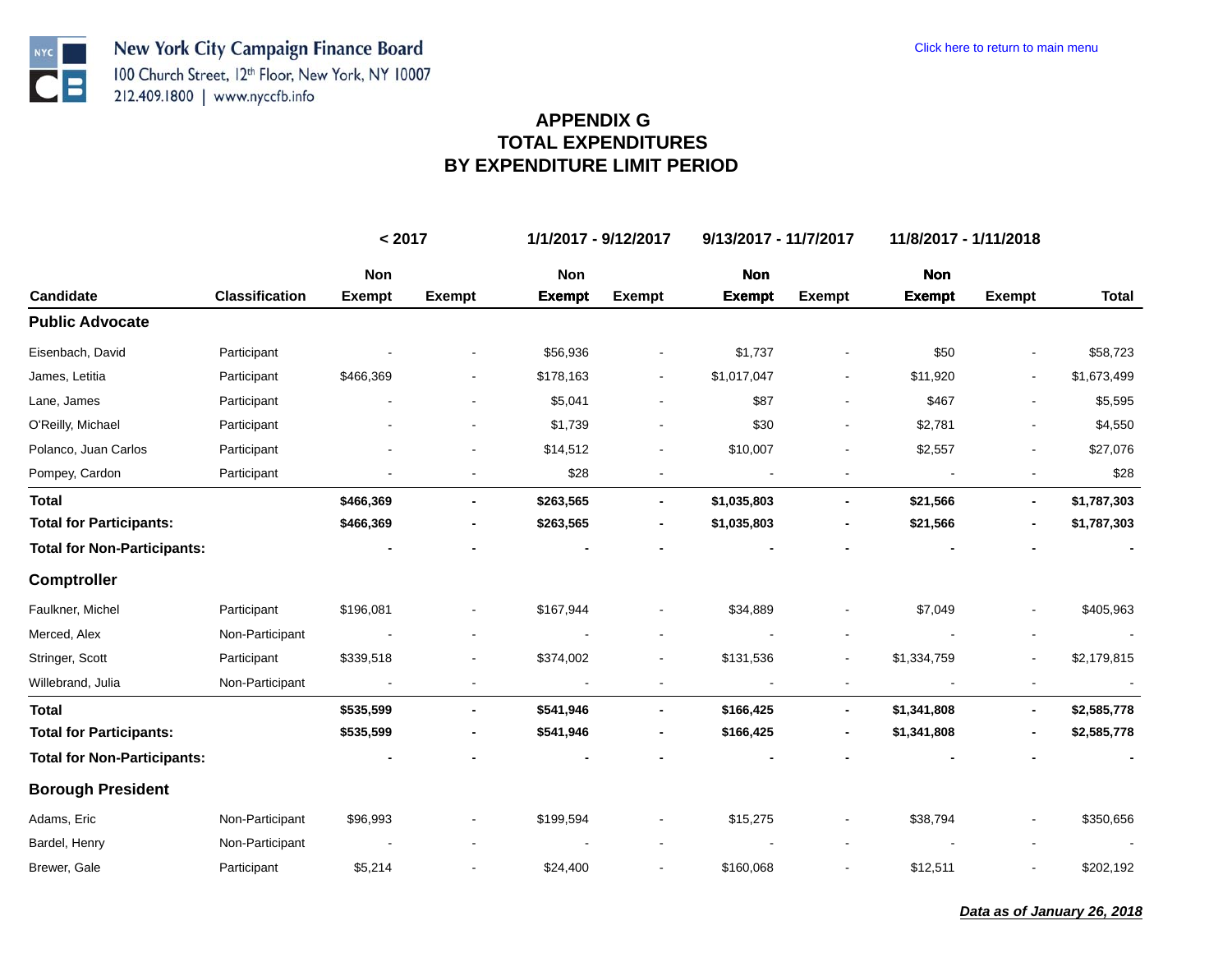**NYC** 

 $\bullet$   $\blacksquare$ 

|                                    |                       | < 2017        |               | 1/1/2017 - 9/12/2017 |                | 9/13/2017 - 11/7/2017 |                | 11/8/2017 - 1/11/2018    |                |              |
|------------------------------------|-----------------------|---------------|---------------|----------------------|----------------|-----------------------|----------------|--------------------------|----------------|--------------|
|                                    |                       | <b>Non</b>    |               | <b>Non</b>           |                | <b>Non</b>            |                | <b>Non</b>               |                |              |
| Candidate                          | <b>Classification</b> | <b>Exempt</b> | <b>Exempt</b> | <b>Exempt</b>        | <b>Exempt</b>  | <b>Exempt</b>         | <b>Exempt</b>  | <b>Exempt</b>            | <b>Exempt</b>  | <b>Total</b> |
| <b>Public Advocate</b>             |                       |               |               |                      |                |                       |                |                          |                |              |
| Eisenbach, David                   | Participant           |               |               | \$56,936             |                | \$1,737               |                | \$50                     |                | \$58,723     |
| James, Letitia                     | Participant           | \$466,369     |               | \$178,163            | $\blacksquare$ | \$1,017,047           | $\blacksquare$ | \$11,920                 |                | \$1,673,499  |
| Lane, James                        | Participant           |               |               | \$5,041              |                | \$87                  |                | \$467                    |                | \$5,595      |
| O'Reilly, Michael                  | Participant           |               |               | \$1,739              |                | \$30                  |                | \$2,781                  |                | \$4,550      |
| Polanco, Juan Carlos               | Participant           |               |               | \$14,512             |                | \$10,007              |                | \$2,557                  |                | \$27,076     |
| Pompey, Cardon                     | Participant           |               |               | \$28                 |                |                       |                | $\overline{\phantom{a}}$ |                | \$28         |
| <b>Total</b>                       |                       | \$466,369     |               | \$263,565            |                | \$1,035,803           |                | \$21,566                 | $\blacksquare$ | \$1,787,303  |
| <b>Total for Participants:</b>     |                       | \$466,369     |               | \$263,565            |                | \$1,035,803           |                | \$21,566                 |                | \$1,787,303  |
| <b>Total for Non-Participants:</b> |                       |               |               |                      |                |                       |                |                          |                |              |
| <b>Comptroller</b>                 |                       |               |               |                      |                |                       |                |                          |                |              |
| Faulkner, Michel                   | Participant           | \$196,081     |               | \$167,944            |                | \$34,889              |                | \$7,049                  |                | \$405,963    |
| Merced, Alex                       | Non-Participant       |               |               |                      |                |                       |                |                          |                | $\sim$       |
| Stringer, Scott                    | Participant           | \$339,518     |               | \$374,002            |                | \$131,536             |                | \$1,334,759              |                | \$2,179,815  |
| Willebrand, Julia                  | Non-Participant       |               |               |                      |                |                       |                |                          |                |              |
| <b>Total</b>                       |                       | \$535,599     |               | \$541,946            |                | \$166,425             |                | \$1,341,808              | $\blacksquare$ | \$2,585,778  |
| <b>Total for Participants:</b>     |                       | \$535,599     |               | \$541,946            |                | \$166,425             |                | \$1,341,808              |                | \$2,585,778  |
| <b>Total for Non-Participants:</b> |                       |               |               |                      |                |                       |                |                          |                |              |
| <b>Borough President</b>           |                       |               |               |                      |                |                       |                |                          |                |              |
| Adams, Eric                        | Non-Participant       | \$96,993      |               | \$199,594            |                | \$15,275              |                | \$38,794                 |                | \$350,656    |
| Bardel, Henry                      | Non-Participant       |               |               |                      |                |                       |                |                          |                | $\sim$       |
| Brewer, Gale                       | Participant           | \$5,214       |               | \$24,400             |                | \$160,068             |                | \$12,511                 |                | \$202,192    |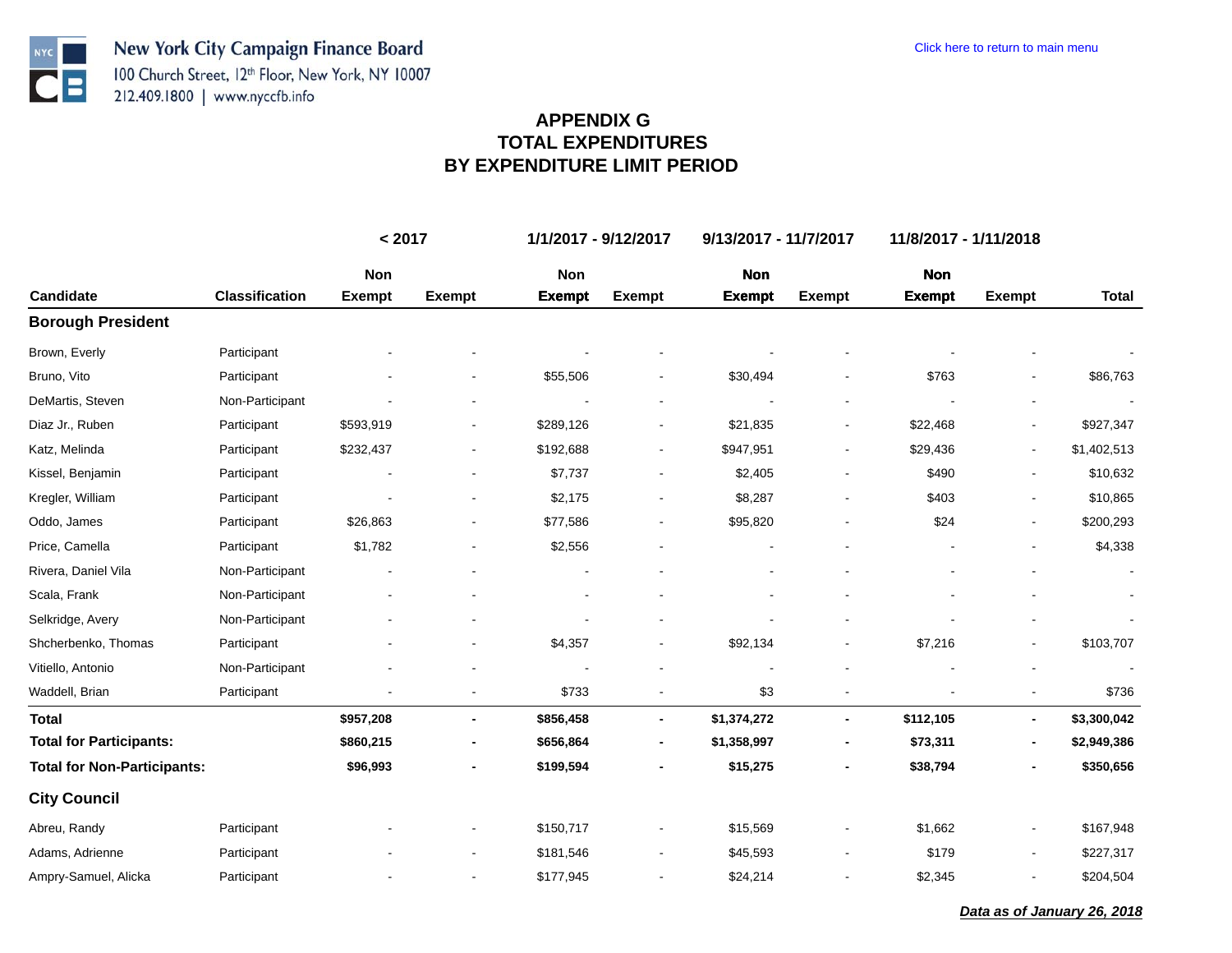**NYC** 

 $\overline{\mathbf{C}}$  :

|                                    |                       | < 2017               |                          | 1/1/2017 - 9/12/2017 |                          | 9/13/2017 - 11/7/2017       |                | 11/8/2017 - 1/11/2018       |                          |              |  |
|------------------------------------|-----------------------|----------------------|--------------------------|----------------------|--------------------------|-----------------------------|----------------|-----------------------------|--------------------------|--------------|--|
| <b>Candidate</b>                   | <b>Classification</b> | Non<br><b>Exempt</b> | <b>Exempt</b>            | Non<br><b>Exempt</b> | <b>Exempt</b>            | <b>Non</b><br><b>Exempt</b> | <b>Exempt</b>  | <b>Non</b><br><b>Exempt</b> | <b>Exempt</b>            | <b>Total</b> |  |
| <b>Borough President</b>           |                       |                      |                          |                      |                          |                             |                |                             |                          |              |  |
| Brown, Everly                      | Participant           |                      |                          |                      |                          |                             |                |                             |                          |              |  |
| Bruno, Vito                        | Participant           |                      |                          | \$55,506             |                          | \$30,494                    |                | \$763                       |                          | \$86,763     |  |
| DeMartis, Steven                   | Non-Participant       |                      |                          |                      |                          |                             |                |                             |                          |              |  |
| Diaz Jr., Ruben                    | Participant           | \$593,919            |                          | \$289,126            | $\overline{\phantom{a}}$ | \$21,835                    | $\blacksquare$ | \$22,468                    | $\overline{\phantom{a}}$ | \$927,347    |  |
| Katz, Melinda                      | Participant           | \$232,437            | $\blacksquare$           | \$192,688            | $\overline{\phantom{a}}$ | \$947,951                   | $\blacksquare$ | \$29,436                    | $\blacksquare$           | \$1,402,513  |  |
| Kissel, Benjamin                   | Participant           |                      |                          | \$7,737              |                          | \$2,405                     |                | \$490                       |                          | \$10,632     |  |
| Kregler, William                   | Participant           |                      |                          | \$2,175              | $\overline{\phantom{a}}$ | \$8,287                     |                | \$403                       |                          | \$10,865     |  |
| Oddo, James                        | Participant           | \$26,863             |                          | \$77,586             | $\overline{a}$           | \$95,820                    |                | \$24                        | $\blacksquare$           | \$200,293    |  |
| Price, Camella                     | Participant           | \$1,782              |                          | \$2,556              |                          |                             |                |                             |                          | \$4,338      |  |
| Rivera, Daniel Vila                | Non-Participant       |                      |                          |                      |                          |                             |                |                             |                          |              |  |
| Scala, Frank                       | Non-Participant       |                      |                          |                      |                          |                             |                |                             |                          |              |  |
| Selkridge, Avery                   | Non-Participant       |                      |                          |                      |                          |                             |                |                             |                          |              |  |
| Shcherbenko, Thomas                | Participant           |                      |                          | \$4,357              | $\blacksquare$           | \$92,134                    |                | \$7,216                     | $\blacksquare$           | \$103,707    |  |
| Vitiello, Antonio                  | Non-Participant       |                      |                          |                      |                          |                             |                |                             |                          |              |  |
| Waddell, Brian                     | Participant           |                      | $\overline{\phantom{a}}$ | \$733                | $\overline{\phantom{a}}$ | \$3                         |                |                             | $\blacksquare$           | \$736        |  |
| <b>Total</b>                       |                       | \$957,208            | $\blacksquare$           | \$856,458            | $\blacksquare$           | \$1,374,272                 |                | \$112,105                   | $\overline{\phantom{a}}$ | \$3,300,042  |  |
| <b>Total for Participants:</b>     |                       | \$860,215            | $\blacksquare$           | \$656,864            | $\blacksquare$           | \$1,358,997                 |                | \$73,311                    | $\overline{\phantom{a}}$ | \$2,949,386  |  |
| <b>Total for Non-Participants:</b> |                       | \$96,993             |                          | \$199,594            |                          | \$15,275                    |                | \$38,794                    |                          | \$350,656    |  |
| <b>City Council</b>                |                       |                      |                          |                      |                          |                             |                |                             |                          |              |  |
| Abreu, Randy                       | Participant           |                      |                          | \$150,717            |                          | \$15,569                    |                | \$1,662                     | $\blacksquare$           | \$167,948    |  |
| Adams, Adrienne                    | Participant           |                      |                          | \$181,546            | $\overline{\phantom{a}}$ | \$45,593                    |                | \$179                       | $\blacksquare$           | \$227,317    |  |
| Ampry-Samuel, Alicka               | Participant           |                      | $\blacksquare$           | \$177,945            | $\overline{\phantom{a}}$ | \$24,214                    | $\blacksquare$ | \$2,345                     | $\blacksquare$           | \$204,504    |  |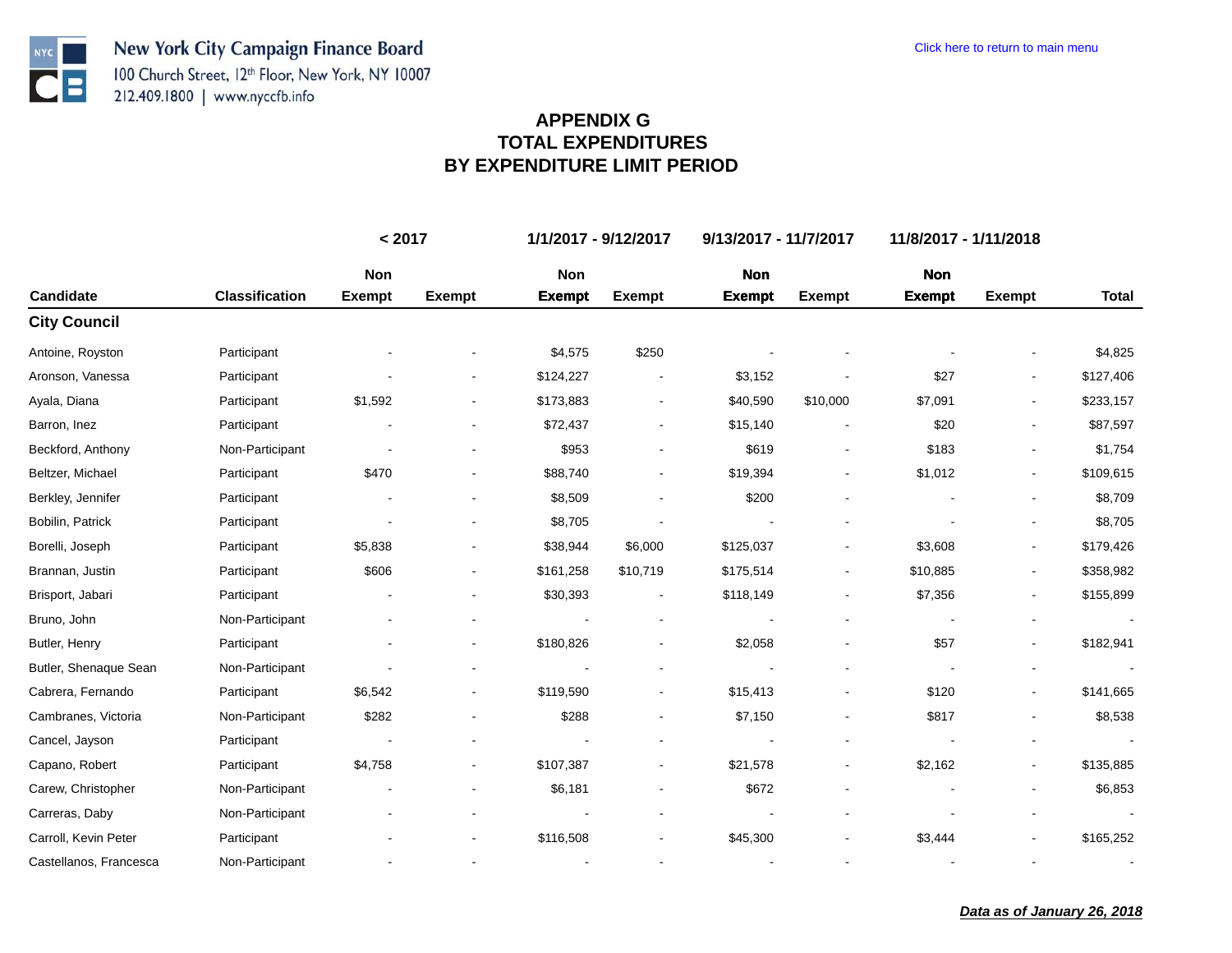**NYC** 

 $\bullet$  :

|                        |                       | < 2017        |                          | 1/1/2017 - 9/12/2017 |                          | 9/13/2017 - 11/7/2017 |                              | 11/8/2017 - 1/11/2018 |                          |           |
|------------------------|-----------------------|---------------|--------------------------|----------------------|--------------------------|-----------------------|------------------------------|-----------------------|--------------------------|-----------|
|                        |                       | Non           |                          | Non                  |                          | <b>Non</b>            |                              | <b>Non</b>            |                          |           |
| Candidate              | <b>Classification</b> | <b>Exempt</b> | <b>Exempt</b>            | <b>Exempt</b>        | <b>Exempt</b>            | <b>Exempt</b>         | <b>Exempt</b>                | <b>Exempt</b>         | <b>Exempt</b>            | Total     |
| <b>City Council</b>    |                       |               |                          |                      |                          |                       |                              |                       |                          |           |
| Antoine, Royston       | Participant           |               |                          | \$4,575              | \$250                    |                       |                              |                       |                          | \$4,825   |
| Aronson, Vanessa       | Participant           |               |                          | \$124,227            |                          | \$3,152               |                              | \$27                  | $\blacksquare$           | \$127,406 |
| Ayala, Diana           | Participant           | \$1,592       |                          | \$173,883            | $\blacksquare$           | \$40,590              | \$10,000                     | \$7,091               | $\overline{\phantom{a}}$ | \$233,157 |
| Barron, Inez           | Participant           |               | ۰                        | \$72,437             | $\overline{\phantom{a}}$ | \$15,140              |                              | \$20                  | $\blacksquare$           | \$87,597  |
| Beckford, Anthony      | Non-Participant       |               |                          | \$953                |                          | \$619                 |                              | \$183                 |                          | \$1,754   |
| Beltzer, Michael       | Participant           | \$470         |                          | \$88,740             |                          | \$19,394              |                              | \$1,012               | $\overline{\phantom{a}}$ | \$109,615 |
| Berkley, Jennifer      | Participant           |               |                          | \$8,509              |                          | \$200                 |                              |                       |                          | \$8,709   |
| Bobilin, Patrick       | Participant           |               |                          | \$8,705              |                          |                       |                              |                       |                          | \$8,705   |
| Borelli, Joseph        | Participant           | \$5,838       |                          | \$38,944             | \$6,000                  | \$125,037             |                              | \$3,608               | $\blacksquare$           | \$179,426 |
| Brannan, Justin        | Participant           | \$606         |                          | \$161,258            | \$10,719                 | \$175,514             |                              | \$10,885              |                          | \$358,982 |
| Brisport, Jabari       | Participant           |               |                          | \$30,393             |                          | \$118,149             | $\qquad \qquad \blacksquare$ | \$7,356               | $\overline{\phantom{a}}$ | \$155,899 |
| Bruno, John            | Non-Participant       |               |                          |                      |                          |                       |                              |                       |                          |           |
| Butler, Henry          | Participant           |               | $\overline{\phantom{a}}$ | \$180,826            |                          | \$2,058               |                              | \$57                  | $\overline{\phantom{a}}$ | \$182,941 |
| Butler, Shenaque Sean  | Non-Participant       |               |                          |                      |                          |                       |                              |                       |                          |           |
| Cabrera, Fernando      | Participant           | \$6,542       |                          | \$119,590            |                          | \$15,413              |                              | \$120                 |                          | \$141,665 |
| Cambranes, Victoria    | Non-Participant       | \$282         |                          | \$288                |                          | \$7,150               |                              | \$817                 |                          | \$8,538   |
| Cancel, Jayson         | Participant           |               |                          |                      |                          |                       |                              |                       |                          |           |
| Capano, Robert         | Participant           | \$4,758       | ۰                        | \$107,387            | $\overline{\phantom{a}}$ | \$21,578              | $\qquad \qquad \blacksquare$ | \$2,162               | $\overline{\phantom{a}}$ | \$135,885 |
| Carew, Christopher     | Non-Participant       |               |                          | \$6,181              |                          | \$672                 |                              |                       |                          | \$6,853   |
| Carreras, Daby         | Non-Participant       |               |                          |                      |                          |                       |                              |                       |                          |           |
| Carroll, Kevin Peter   | Participant           |               |                          | \$116,508            |                          | \$45,300              |                              | \$3,444               |                          | \$165,252 |
| Castellanos, Francesca | Non-Participant       |               |                          |                      |                          |                       |                              |                       |                          |           |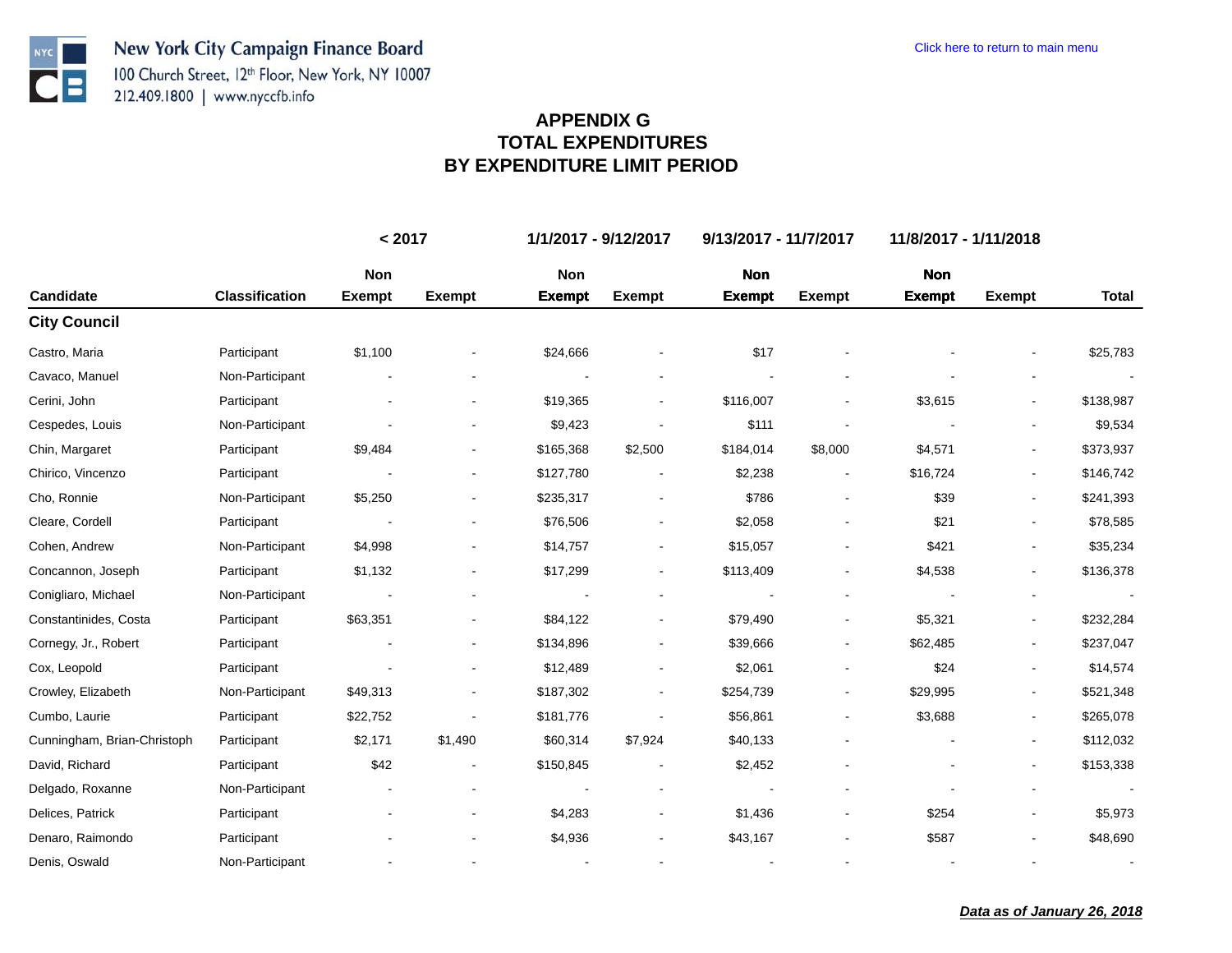**NYC** 

 $\overline{\mathbf{C}}$  :

|                             |                       | < 2017        |               | 1/1/2017 - 9/12/2017 |                          | 9/13/2017 - 11/7/2017 |                              |               | 11/8/2017 - 1/11/2018    |              |  |  |
|-----------------------------|-----------------------|---------------|---------------|----------------------|--------------------------|-----------------------|------------------------------|---------------|--------------------------|--------------|--|--|
|                             |                       | Non           |               | Non                  |                          | <b>Non</b>            |                              | <b>Non</b>    |                          |              |  |  |
| Candidate                   | <b>Classification</b> | <b>Exempt</b> | <b>Exempt</b> | <b>Exempt</b>        | <b>Exempt</b>            | <b>Exempt</b>         | <b>Exempt</b>                | <b>Exempt</b> | <b>Exempt</b>            | <b>Total</b> |  |  |
| <b>City Council</b>         |                       |               |               |                      |                          |                       |                              |               |                          |              |  |  |
| Castro, Maria               | Participant           | \$1,100       |               | \$24,666             |                          | \$17                  |                              |               |                          | \$25,783     |  |  |
| Cavaco, Manuel              | Non-Participant       |               |               |                      |                          |                       |                              |               |                          |              |  |  |
| Cerini, John                | Participant           |               |               | \$19,365             |                          | \$116,007             |                              | \$3,615       |                          | \$138,987    |  |  |
| Cespedes, Louis             | Non-Participant       |               |               | \$9,423              |                          | \$111                 |                              |               | $\blacksquare$           | \$9,534      |  |  |
| Chin, Margaret              | Participant           | \$9,484       |               | \$165,368            | \$2,500                  | \$184,014             | \$8,000                      | \$4,571       |                          | \$373,937    |  |  |
| Chirico, Vincenzo           | Participant           |               |               | \$127,780            |                          | \$2,238               |                              | \$16,724      | $\overline{\phantom{a}}$ | \$146,742    |  |  |
| Cho, Ronnie                 | Non-Participant       | \$5,250       |               | \$235,317            |                          | \$786                 |                              | \$39          |                          | \$241,393    |  |  |
| Cleare, Cordell             | Participant           |               |               | \$76,506             |                          | \$2,058               |                              | \$21          |                          | \$78,585     |  |  |
| Cohen, Andrew               | Non-Participant       | \$4,998       |               | \$14,757             |                          | \$15,057              |                              | \$421         |                          | \$35,234     |  |  |
| Concannon, Joseph           | Participant           | \$1,132       |               | \$17,299             | $\overline{\phantom{a}}$ | \$113,409             |                              | \$4,538       |                          | \$136,378    |  |  |
| Conigliaro, Michael         | Non-Participant       |               |               |                      |                          |                       |                              |               |                          |              |  |  |
| Constantinides, Costa       | Participant           | \$63,351      |               | \$84,122             |                          | \$79,490              |                              | \$5,321       |                          | \$232,284    |  |  |
| Cornegy, Jr., Robert        | Participant           |               |               | \$134,896            |                          | \$39,666              | $\qquad \qquad \blacksquare$ | \$62,485      | $\overline{\phantom{a}}$ | \$237,047    |  |  |
| Cox, Leopold                | Participant           |               |               | \$12,489             |                          | \$2,061               |                              | \$24          |                          | \$14,574     |  |  |
| Crowley, Elizabeth          | Non-Participant       | \$49,313      |               | \$187,302            |                          | \$254,739             |                              | \$29,995      |                          | \$521,348    |  |  |
| Cumbo, Laurie               | Participant           | \$22,752      |               | \$181,776            |                          | \$56,861              |                              | \$3,688       | $\overline{\phantom{a}}$ | \$265,078    |  |  |
| Cunningham, Brian-Christoph | Participant           | \$2,171       | \$1,490       | \$60,314             | \$7,924                  | \$40,133              |                              |               | $\blacksquare$           | \$112,032    |  |  |
| David, Richard              | Participant           | \$42          |               | \$150,845            |                          | \$2,452               |                              |               | $\overline{\phantom{a}}$ | \$153,338    |  |  |
| Delgado, Roxanne            | Non-Participant       |               |               |                      |                          |                       |                              |               |                          |              |  |  |
| Delices, Patrick            | Participant           |               |               | \$4,283              |                          | \$1,436               |                              | \$254         | $\overline{\phantom{a}}$ | \$5,973      |  |  |
| Denaro, Raimondo            | Participant           |               |               | \$4,936              |                          | \$43,167              |                              | \$587         |                          | \$48,690     |  |  |
| Denis, Oswald               | Non-Participant       |               |               |                      |                          |                       |                              |               |                          |              |  |  |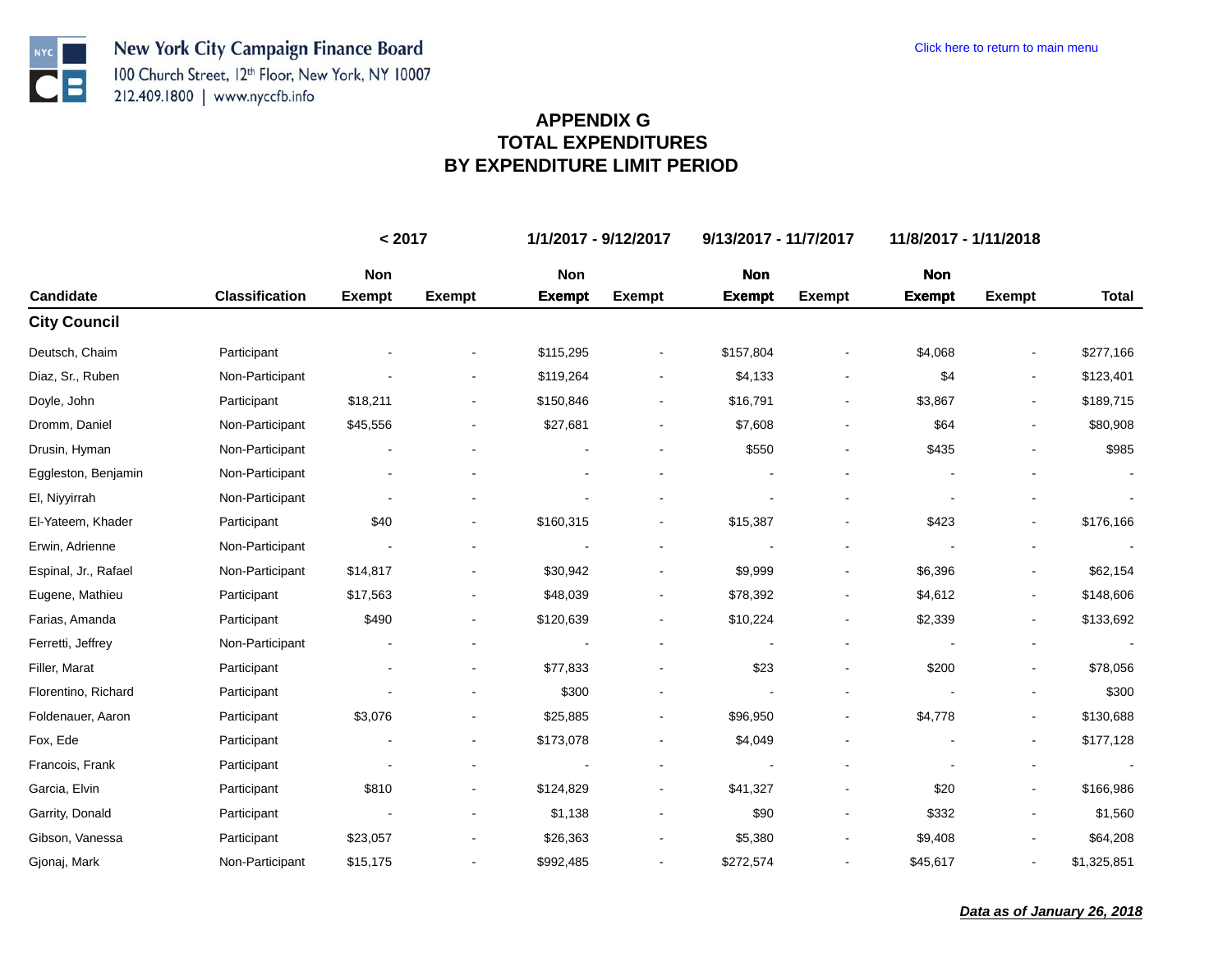**NYC** 

 $\bullet$   $\blacksquare$ 

|                      |                       | < 2017        |               | 1/1/2017 - 9/12/2017 |                          | 9/13/2017 - 11/7/2017 |               | 11/8/2017 - 1/11/2018 |                          |              |  |
|----------------------|-----------------------|---------------|---------------|----------------------|--------------------------|-----------------------|---------------|-----------------------|--------------------------|--------------|--|
|                      |                       | Non           |               | Non                  |                          | <b>Non</b>            |               | <b>Non</b>            |                          |              |  |
| Candidate            | <b>Classification</b> | <b>Exempt</b> | <b>Exempt</b> | <b>Exempt</b>        | <b>Exempt</b>            | <b>Exempt</b>         | <b>Exempt</b> | <b>Exempt</b>         | <b>Exempt</b>            | <b>Total</b> |  |
| <b>City Council</b>  |                       |               |               |                      |                          |                       |               |                       |                          |              |  |
| Deutsch, Chaim       | Participant           |               |               | \$115,295            |                          | \$157,804             |               | \$4,068               |                          | \$277,166    |  |
| Diaz, Sr., Ruben     | Non-Participant       |               |               | \$119,264            | $\blacksquare$           | \$4,133               |               | \$4                   |                          | \$123,401    |  |
| Doyle, John          | Participant           | \$18,211      |               | \$150,846            | $\overline{\phantom{a}}$ | \$16,791              |               | \$3,867               |                          | \$189,715    |  |
| Dromm, Daniel        | Non-Participant       | \$45,556      |               | \$27,681             | $\overline{\phantom{a}}$ | \$7,608               |               | \$64                  |                          | \$80,908     |  |
| Drusin, Hyman        | Non-Participant       |               |               |                      |                          | \$550                 |               | \$435                 |                          | \$985        |  |
| Eggleston, Benjamin  | Non-Participant       |               |               |                      |                          |                       |               |                       |                          |              |  |
| El, Niyyirrah        | Non-Participant       |               |               |                      |                          |                       |               |                       |                          |              |  |
| El-Yateem, Khader    | Participant           | \$40          |               | \$160,315            |                          | \$15,387              |               | \$423                 |                          | \$176,166    |  |
| Erwin, Adrienne      | Non-Participant       |               |               |                      |                          |                       |               |                       |                          |              |  |
| Espinal, Jr., Rafael | Non-Participant       | \$14,817      |               | \$30,942             |                          | \$9,999               |               | \$6,396               |                          | \$62,154     |  |
| Eugene, Mathieu      | Participant           | \$17,563      |               | \$48,039             |                          | \$78,392              |               | \$4,612               |                          | \$148,606    |  |
| Farias, Amanda       | Participant           | \$490         |               | \$120,639            |                          | \$10,224              |               | \$2,339               |                          | \$133,692    |  |
| Ferretti, Jeffrey    | Non-Participant       |               |               |                      | $\overline{\phantom{a}}$ |                       |               |                       |                          | $\sim$       |  |
| Filler, Marat        | Participant           |               |               | \$77,833             |                          | \$23                  |               | \$200                 |                          | \$78,056     |  |
| Florentino, Richard  | Participant           |               |               | \$300                |                          |                       |               |                       |                          | \$300        |  |
| Foldenauer, Aaron    | Participant           | \$3,076       |               | \$25,885             | $\blacksquare$           | \$96,950              |               | \$4,778               | $\overline{\phantom{a}}$ | \$130,688    |  |
| Fox, Ede             | Participant           |               |               | \$173,078            |                          | \$4,049               |               |                       |                          | \$177,128    |  |
| Francois, Frank      | Participant           |               |               |                      | $\overline{\phantom{a}}$ |                       |               |                       |                          |              |  |
| Garcia, Elvin        | Participant           | \$810         |               | \$124,829            |                          | \$41,327              |               | \$20                  |                          | \$166,986    |  |
| Garrity, Donald      | Participant           |               |               | \$1,138              | $\overline{\phantom{a}}$ | \$90                  |               | \$332                 |                          | \$1,560      |  |
| Gibson, Vanessa      | Participant           | \$23,057      |               | \$26,363             |                          | \$5,380               |               | \$9,408               |                          | \$64,208     |  |
| Gjonaj, Mark         | Non-Participant       | \$15,175      |               | \$992,485            | $\overline{\phantom{a}}$ | \$272,574             |               | \$45,617              |                          | \$1,325,851  |  |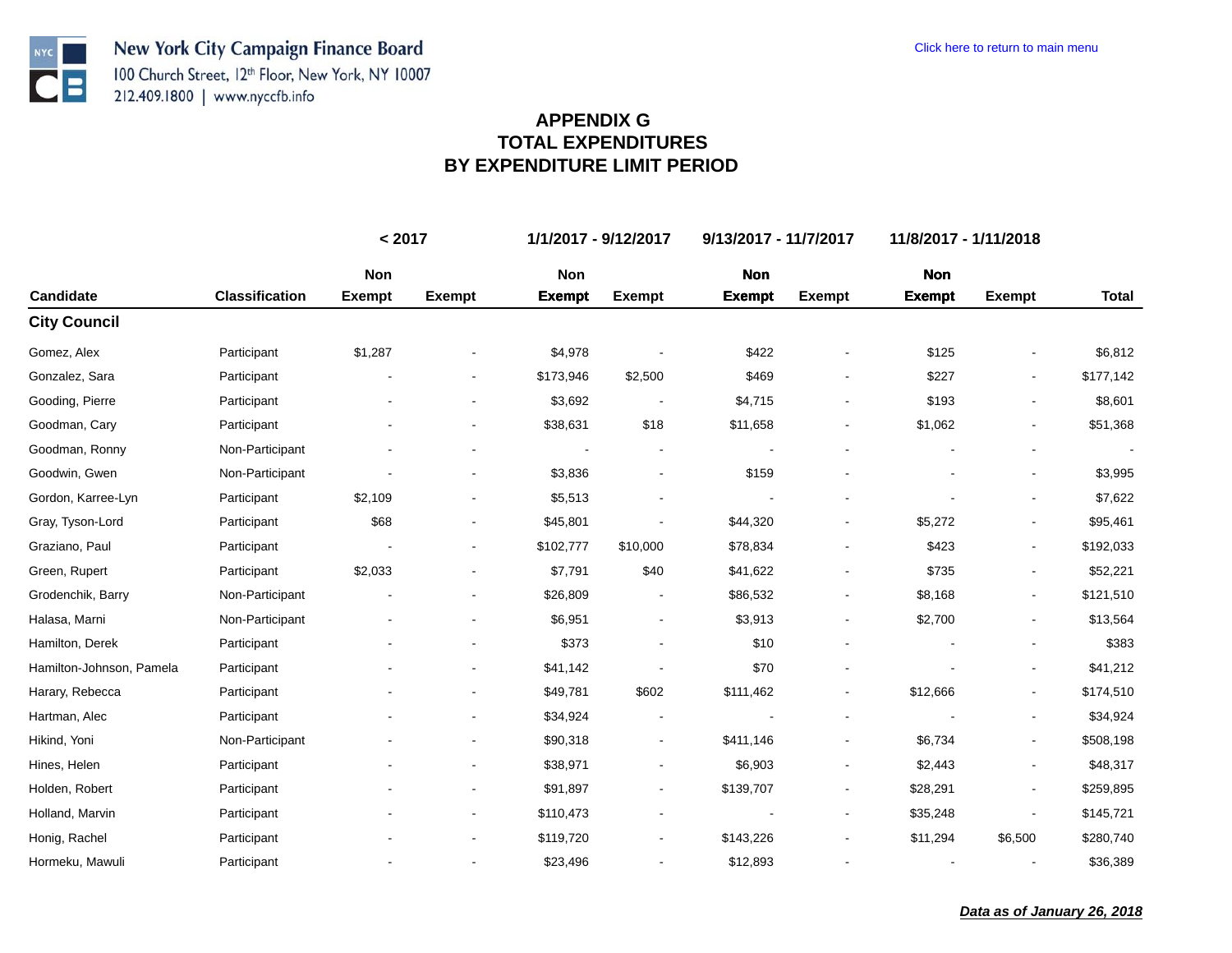**NYC** 

 $\bullet$   $\blacksquare$ 

|                          |                       | < 2017        |                | 1/1/2017 - 9/12/2017<br>9/13/2017 - 11/7/2017 |                          |               |                          | 11/8/2017 - 1/11/2018 |                          |              |
|--------------------------|-----------------------|---------------|----------------|-----------------------------------------------|--------------------------|---------------|--------------------------|-----------------------|--------------------------|--------------|
|                          |                       | Non           |                | Non                                           |                          | <b>Non</b>    |                          | <b>Non</b>            |                          |              |
| Candidate                | <b>Classification</b> | <b>Exempt</b> | <b>Exempt</b>  | <b>Exempt</b>                                 | <b>Exempt</b>            | <b>Exempt</b> | <b>Exempt</b>            | <b>Exempt</b>         | <b>Exempt</b>            | <b>Total</b> |
| <b>City Council</b>      |                       |               |                |                                               |                          |               |                          |                       |                          |              |
| Gomez, Alex              | Participant           | \$1,287       |                | \$4,978                                       |                          | \$422         |                          | \$125                 |                          | \$6,812      |
| Gonzalez, Sara           | Participant           |               | $\blacksquare$ | \$173,946                                     | \$2,500                  | \$469         |                          | \$227                 |                          | \$177,142    |
| Gooding, Pierre          | Participant           |               | $\blacksquare$ | \$3,692                                       |                          | \$4,715       |                          | \$193                 |                          | \$8,601      |
| Goodman, Cary            | Participant           |               | $\blacksquare$ | \$38,631                                      | \$18                     | \$11,658      |                          | \$1,062               |                          | \$51,368     |
| Goodman, Ronny           | Non-Participant       |               |                |                                               |                          |               |                          |                       |                          |              |
| Goodwin, Gwen            | Non-Participant       |               |                | \$3,836                                       |                          | \$159         |                          |                       |                          | \$3,995      |
| Gordon, Karree-Lyn       | Participant           | \$2,109       |                | \$5,513                                       |                          |               |                          |                       |                          | \$7,622      |
| Gray, Tyson-Lord         | Participant           | \$68          |                | \$45,801                                      |                          | \$44,320      |                          | \$5,272               |                          | \$95,461     |
| Graziano, Paul           | Participant           |               |                | \$102,777                                     | \$10,000                 | \$78,834      |                          | \$423                 | $\overline{\phantom{a}}$ | \$192,033    |
| Green, Rupert            | Participant           | \$2,033       |                | \$7,791                                       | \$40                     | \$41,622      |                          | \$735                 |                          | \$52,221     |
| Grodenchik, Barry        | Non-Participant       |               | $\blacksquare$ | \$26,809                                      | $\overline{\phantom{a}}$ | \$86,532      | $\overline{\phantom{a}}$ | \$8,168               | $\blacksquare$           | \$121,510    |
| Halasa, Marni            | Non-Participant       |               |                | \$6,951                                       |                          | \$3,913       |                          | \$2,700               |                          | \$13,564     |
| Hamilton, Derek          | Participant           |               |                | \$373                                         |                          | \$10          |                          |                       |                          | \$383        |
| Hamilton-Johnson, Pamela | Participant           |               |                | \$41,142                                      |                          | \$70          |                          |                       |                          | \$41,212     |
| Harary, Rebecca          | Participant           |               |                | \$49,781                                      | \$602                    | \$111,462     |                          | \$12,666              |                          | \$174,510    |
| Hartman, Alec            | Participant           |               |                | \$34,924                                      |                          |               |                          |                       |                          | \$34,924     |
| Hikind, Yoni             | Non-Participant       |               |                | \$90,318                                      | $\blacksquare$           | \$411,146     |                          | \$6,734               |                          | \$508,198    |
| Hines, Helen             | Participant           |               | $\blacksquare$ | \$38,971                                      | $\overline{\phantom{a}}$ | \$6,903       | $\overline{\phantom{a}}$ | \$2,443               | $\overline{\phantom{a}}$ | \$48,317     |
| Holden, Robert           | Participant           |               |                | \$91,897                                      |                          | \$139,707     |                          | \$28,291              |                          | \$259,895    |
| Holland, Marvin          | Participant           |               | $\blacksquare$ | \$110,473                                     |                          |               | $\blacksquare$           | \$35,248              |                          | \$145,721    |
| Honig, Rachel            | Participant           |               |                | \$119,720                                     |                          | \$143,226     |                          | \$11,294              | \$6,500                  | \$280,740    |
| Hormeku, Mawuli          | Participant           |               |                | \$23,496                                      | $\overline{\phantom{a}}$ | \$12,893      |                          |                       |                          | \$36,389     |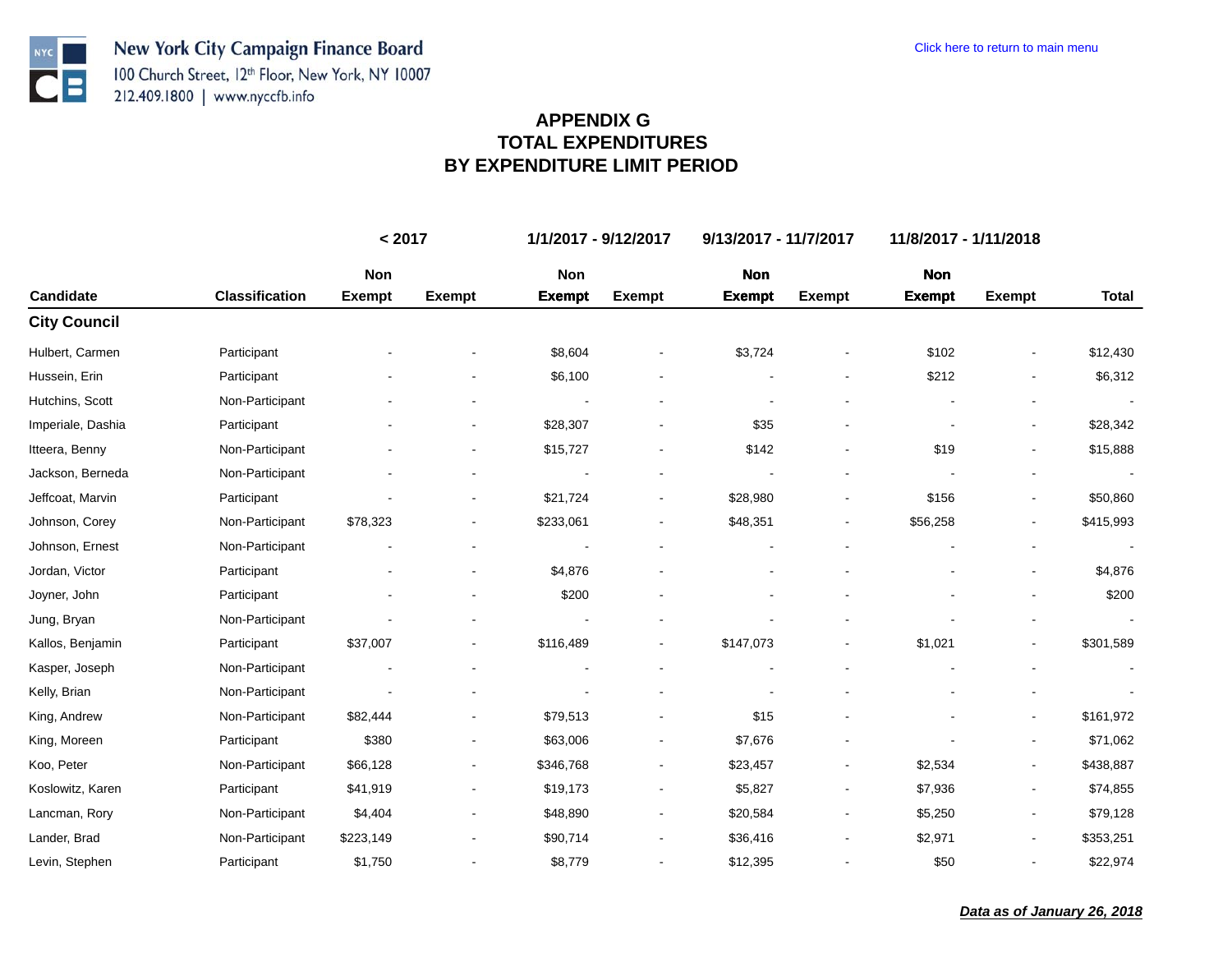**NYC** 

 $\bullet$   $\blacksquare$ 

|                     |                       | < 2017        |                          | 1/1/2017 - 9/12/2017 |                          | 9/13/2017 - 11/7/2017 |               | 11/8/2017 - 1/11/2018 |                          |                      |
|---------------------|-----------------------|---------------|--------------------------|----------------------|--------------------------|-----------------------|---------------|-----------------------|--------------------------|----------------------|
|                     |                       | Non           |                          | Non                  |                          | <b>Non</b>            |               | <b>Non</b>            |                          |                      |
| Candidate           | <b>Classification</b> | <b>Exempt</b> | <b>Exempt</b>            | <b>Exempt</b>        | <b>Exempt</b>            | <b>Exempt</b>         | <b>Exempt</b> | <b>Exempt</b>         | <b>Exempt</b>            | <b>Total</b>         |
| <b>City Council</b> |                       |               |                          |                      |                          |                       |               |                       |                          |                      |
| Hulbert, Carmen     | Participant           |               |                          | \$8,604              |                          | \$3,724               |               | \$102                 |                          | \$12,430             |
| Hussein, Erin       | Participant           |               |                          | \$6,100              |                          |                       |               | \$212                 |                          | \$6,312              |
| Hutchins, Scott     | Non-Participant       |               |                          |                      |                          |                       |               |                       |                          |                      |
| Imperiale, Dashia   | Participant           |               | $\blacksquare$           | \$28,307             |                          | \$35                  |               |                       |                          | \$28,342             |
| Itteera, Benny      | Non-Participant       |               |                          | \$15,727             |                          | \$142                 |               | \$19                  |                          | \$15,888             |
| Jackson, Berneda    | Non-Participant       |               |                          |                      |                          |                       |               |                       |                          | $\ddot{\phantom{a}}$ |
| Jeffcoat, Marvin    | Participant           |               |                          | \$21,724             |                          | \$28,980              |               | \$156                 |                          | \$50,860             |
| Johnson, Corey      | Non-Participant       | \$78,323      |                          | \$233,061            |                          | \$48,351              |               | \$56,258              |                          | \$415,993            |
| Johnson, Ernest     | Non-Participant       |               |                          |                      |                          |                       |               |                       |                          |                      |
| Jordan, Victor      | Participant           |               |                          | \$4,876              |                          |                       |               |                       |                          | \$4,876              |
| Joyner, John        | Participant           |               |                          | \$200                |                          |                       |               |                       |                          | \$200                |
| Jung, Bryan         | Non-Participant       |               |                          |                      |                          |                       |               |                       |                          |                      |
| Kallos, Benjamin    | Participant           | \$37,007      | $\overline{\phantom{a}}$ | \$116,489            |                          | \$147,073             |               | \$1,021               | $\overline{\phantom{a}}$ | \$301,589            |
| Kasper, Joseph      | Non-Participant       |               |                          |                      |                          |                       |               |                       |                          |                      |
| Kelly, Brian        | Non-Participant       |               |                          |                      |                          |                       |               |                       |                          |                      |
| King, Andrew        | Non-Participant       | \$82,444      |                          | \$79,513             |                          | \$15                  |               |                       |                          | \$161,972            |
| King, Moreen        | Participant           | \$380         | -                        | \$63,006             |                          | \$7,676               |               |                       |                          | \$71,062             |
| Koo, Peter          | Non-Participant       | \$66,128      |                          | \$346,768            |                          | \$23,457              |               | \$2,534               |                          | \$438,887            |
| Koslowitz, Karen    | Participant           | \$41,919      | $\overline{\phantom{a}}$ | \$19,173             |                          | \$5,827               |               | \$7,936               | $\blacksquare$           | \$74,855             |
| Lancman, Rory       | Non-Participant       | \$4,404       |                          | \$48,890             | $\overline{\phantom{a}}$ | \$20,584              |               | \$5,250               |                          | \$79,128             |
| Lander, Brad        | Non-Participant       | \$223,149     |                          | \$90,714             |                          | \$36,416              |               | \$2,971               |                          | \$353,251            |
| Levin, Stephen      | Participant           | \$1,750       |                          | \$8,779              |                          | \$12,395              |               | \$50                  |                          | \$22,974             |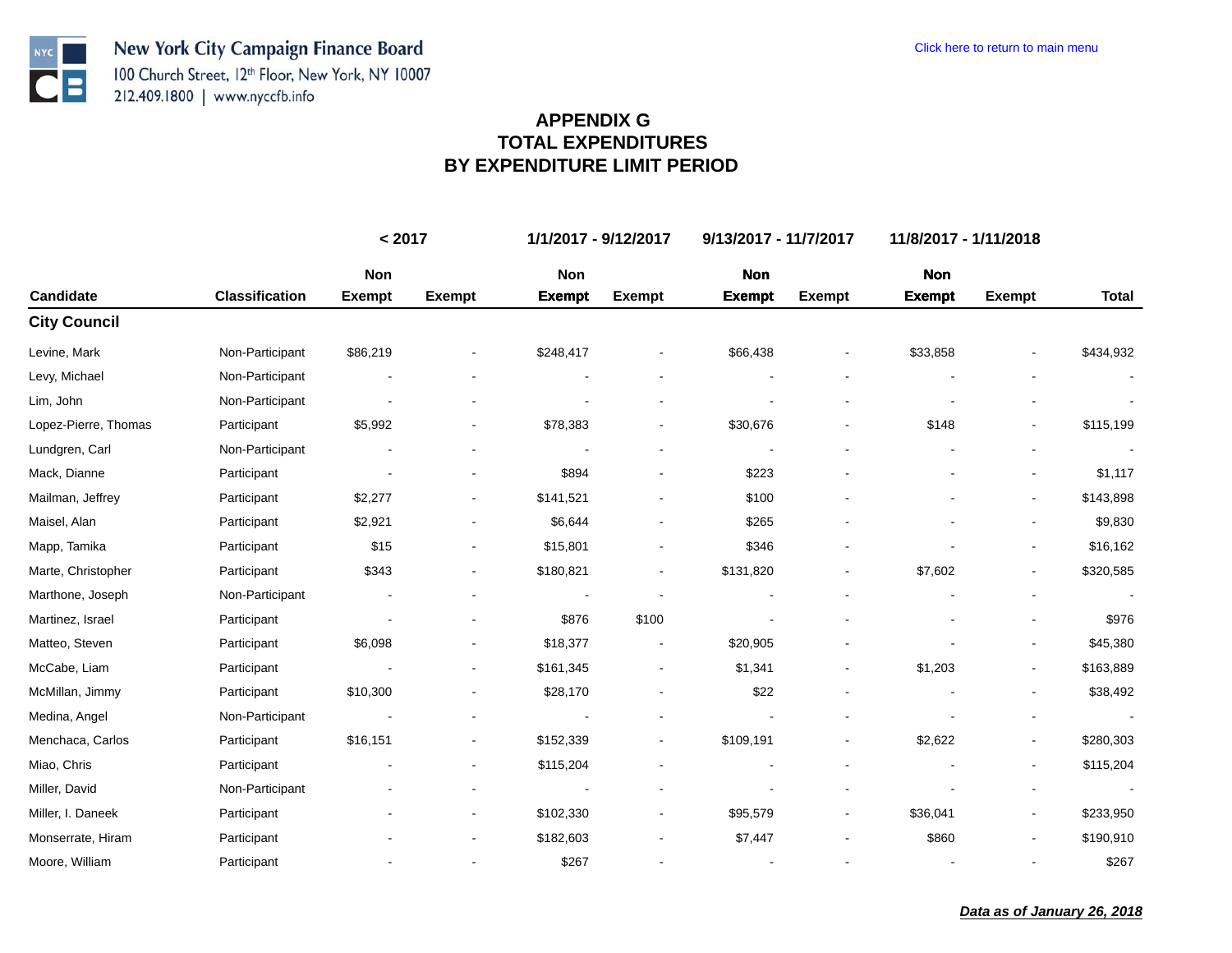**NYC** 

ŊЕ

|                      |                       | < 2017        |                              | 1/1/2017 - 9/12/2017 |                          | 9/13/2017 - 11/7/2017 |               | 11/8/2017 - 1/11/2018 |                          |              |
|----------------------|-----------------------|---------------|------------------------------|----------------------|--------------------------|-----------------------|---------------|-----------------------|--------------------------|--------------|
|                      |                       | Non           |                              | Non                  |                          | <b>Non</b>            |               | <b>Non</b>            |                          |              |
| Candidate            | <b>Classification</b> | <b>Exempt</b> | <b>Exempt</b>                | <b>Exempt</b>        | <b>Exempt</b>            | <b>Exempt</b>         | <b>Exempt</b> | <b>Exempt</b>         | <b>Exempt</b>            | <b>Total</b> |
| <b>City Council</b>  |                       |               |                              |                      |                          |                       |               |                       |                          |              |
| Levine, Mark         | Non-Participant       | \$86,219      |                              | \$248,417            |                          | \$66,438              |               | \$33,858              |                          | \$434,932    |
| Levy, Michael        | Non-Participant       |               |                              |                      |                          |                       |               |                       |                          |              |
| Lim, John            | Non-Participant       |               |                              |                      |                          |                       |               |                       |                          |              |
| Lopez-Pierre, Thomas | Participant           | \$5,992       |                              | \$78,383             | $\blacksquare$           | \$30,676              |               | \$148                 |                          | \$115,199    |
| Lundgren, Carl       | Non-Participant       |               |                              |                      |                          |                       |               |                       |                          |              |
| Mack, Dianne         | Participant           |               |                              | \$894                |                          | \$223                 |               |                       |                          | \$1,117      |
| Mailman, Jeffrey     | Participant           | \$2,277       |                              | \$141,521            |                          | \$100                 |               |                       |                          | \$143,898    |
| Maisel, Alan         | Participant           | \$2,921       |                              | \$6,644              |                          | \$265                 |               |                       |                          | \$9,830      |
| Mapp, Tamika         | Participant           | \$15          | ۰                            | \$15,801             | $\blacksquare$           | \$346                 |               |                       |                          | \$16,162     |
| Marte, Christopher   | Participant           | \$343         |                              | \$180,821            |                          | \$131,820             |               | \$7,602               |                          | \$320,585    |
| Marthone, Joseph     | Non-Participant       |               |                              |                      |                          |                       |               |                       |                          |              |
| Martinez, Israel     | Participant           |               |                              | \$876                | \$100                    |                       |               |                       |                          | \$976        |
| Matteo, Steven       | Participant           | \$6,098       |                              | \$18,377             |                          | \$20,905              |               |                       |                          | \$45,380     |
| McCabe, Liam         | Participant           |               |                              | \$161,345            |                          | \$1,341               |               | \$1,203               |                          | \$163,889    |
| McMillan, Jimmy      | Participant           | \$10,300      |                              | \$28,170             |                          | \$22                  |               |                       |                          | \$38,492     |
| Medina, Angel        | Non-Participant       |               |                              |                      |                          |                       |               |                       |                          |              |
| Menchaca, Carlos     | Participant           | \$16,151      |                              | \$152,339            | $\overline{\phantom{a}}$ | \$109,191             |               | \$2,622               |                          | \$280,303    |
| Miao, Chris          | Participant           |               | $\qquad \qquad \blacksquare$ | \$115,204            | $\blacksquare$           |                       |               |                       | $\overline{\phantom{a}}$ | \$115,204    |
| Miller, David        | Non-Participant       |               |                              |                      |                          |                       |               |                       |                          |              |
| Miller, I. Daneek    | Participant           |               | ۰                            | \$102,330            |                          | \$95,579              |               | \$36,041              |                          | \$233,950    |
| Monserrate, Hiram    | Participant           |               |                              | \$182,603            |                          | \$7,447               |               | \$860                 |                          | \$190,910    |
| Moore, William       | Participant           |               |                              | \$267                |                          |                       |               |                       |                          | \$267        |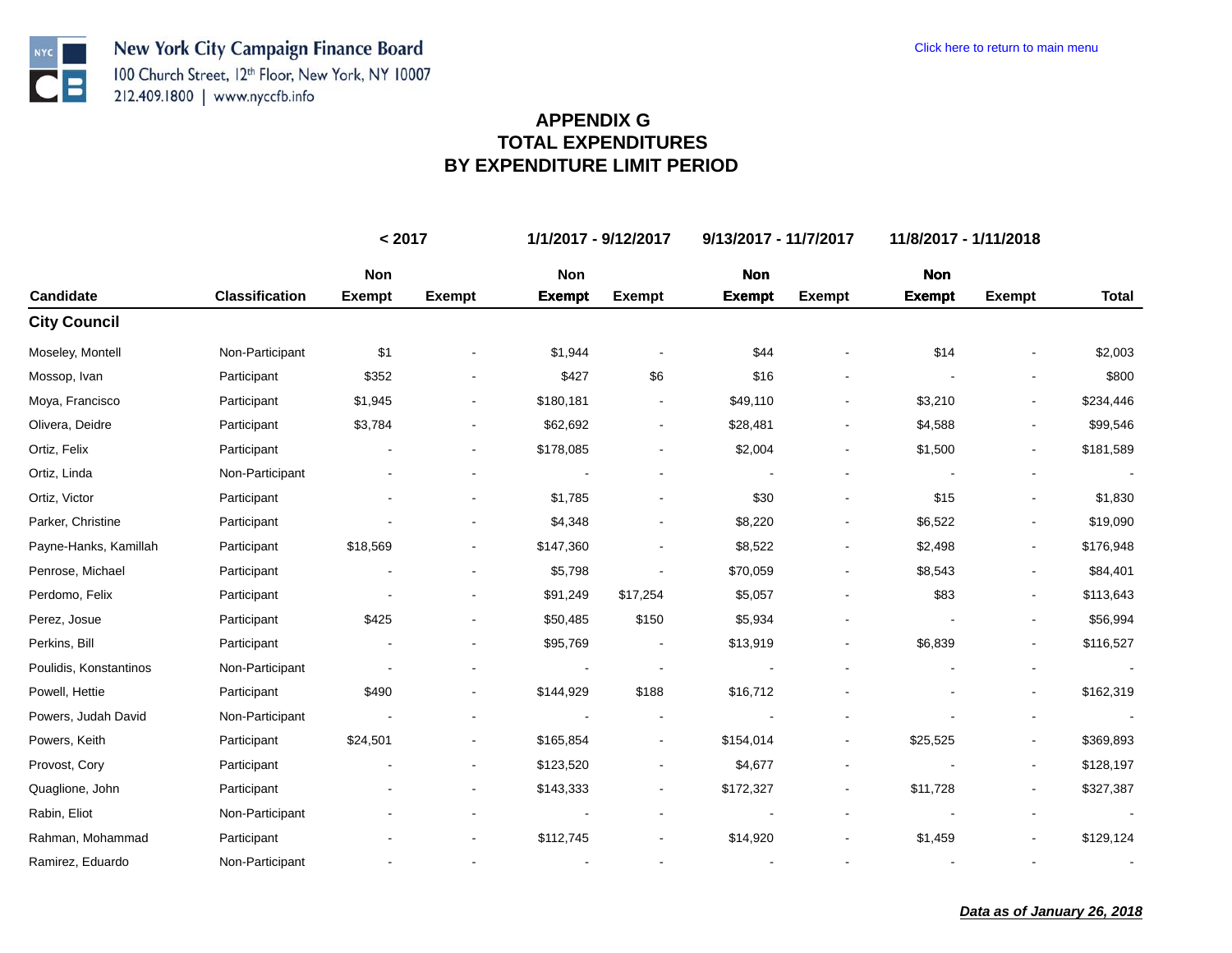**NYC** 

ŊЕ

|                        |                       | < 2017        |                              |               | 1/1/2017 - 9/12/2017 | 9/13/2017 - 11/7/2017 |                |               | 11/8/2017 - 1/11/2018    |                          |  |
|------------------------|-----------------------|---------------|------------------------------|---------------|----------------------|-----------------------|----------------|---------------|--------------------------|--------------------------|--|
|                        |                       | Non           |                              | Non           |                      | <b>Non</b>            |                | <b>Non</b>    |                          |                          |  |
| Candidate              | <b>Classification</b> | <b>Exempt</b> | <b>Exempt</b>                | <b>Exempt</b> | <b>Exempt</b>        | <b>Exempt</b>         | <b>Exempt</b>  | <b>Exempt</b> | <b>Exempt</b>            | <b>Total</b>             |  |
| <b>City Council</b>    |                       |               |                              |               |                      |                       |                |               |                          |                          |  |
| Moseley, Montell       | Non-Participant       | \$1           |                              | \$1,944       |                      | \$44                  |                | \$14          |                          | \$2,003                  |  |
| Mossop, Ivan           | Participant           | \$352         |                              | \$427         | \$6                  | \$16                  |                |               |                          | \$800                    |  |
| Moya, Francisco        | Participant           | \$1,945       |                              | \$180,181     |                      | \$49,110              |                | \$3,210       |                          | \$234,446                |  |
| Olivera, Deidre        | Participant           | \$3,784       | ۰                            | \$62,692      | $\blacksquare$       | \$28,481              | $\blacksquare$ | \$4,588       |                          | \$99,546                 |  |
| Ortiz, Felix           | Participant           |               |                              | \$178,085     |                      | \$2,004               |                | \$1,500       |                          | \$181,589                |  |
| Ortiz, Linda           | Non-Participant       |               |                              |               |                      |                       |                |               |                          | $\overline{\phantom{a}}$ |  |
| Ortiz, Victor          | Participant           |               |                              | \$1,785       |                      | \$30                  |                | \$15          |                          | \$1,830                  |  |
| Parker, Christine      | Participant           |               |                              | \$4,348       |                      | \$8,220               |                | \$6,522       |                          | \$19,090                 |  |
| Payne-Hanks, Kamillah  | Participant           | \$18,569      |                              | \$147,360     |                      | \$8,522               |                | \$2,498       |                          | \$176,948                |  |
| Penrose, Michael       | Participant           |               |                              | \$5,798       |                      | \$70,059              |                | \$8,543       |                          | \$84,401                 |  |
| Perdomo, Felix         | Participant           |               | ۰                            | \$91,249      | \$17,254             | \$5,057               |                | \$83          |                          | \$113,643                |  |
| Perez, Josue           | Participant           | \$425         |                              | \$50,485      | \$150                | \$5,934               |                |               |                          | \$56,994                 |  |
| Perkins, Bill          | Participant           |               |                              | \$95,769      |                      | \$13,919              |                | \$6,839       |                          | \$116,527                |  |
| Poulidis, Konstantinos | Non-Participant       |               |                              |               |                      |                       |                |               |                          |                          |  |
| Powell, Hettie         | Participant           | \$490         |                              | \$144,929     | \$188                | \$16,712              |                |               |                          | \$162,319                |  |
| Powers, Judah David    | Non-Participant       |               |                              |               |                      |                       |                |               |                          |                          |  |
| Powers, Keith          | Participant           | \$24,501      |                              | \$165,854     |                      | \$154,014             |                | \$25,525      |                          | \$369,893                |  |
| Provost, Cory          | Participant           |               | $\blacksquare$               | \$123,520     |                      | \$4,677               |                |               | $\overline{\phantom{a}}$ | \$128,197                |  |
| Quaglione, John        | Participant           |               | ۰                            | \$143,333     |                      | \$172,327             |                | \$11,728      |                          | \$327,387                |  |
| Rabin, Eliot           | Non-Participant       |               | $\qquad \qquad \blacksquare$ |               |                      |                       |                |               |                          | $\blacksquare$           |  |
| Rahman, Mohammad       | Participant           |               |                              | \$112,745     |                      | \$14,920              |                | \$1,459       |                          | \$129,124                |  |
| Ramirez, Eduardo       | Non-Participant       |               |                              |               |                      |                       |                |               |                          |                          |  |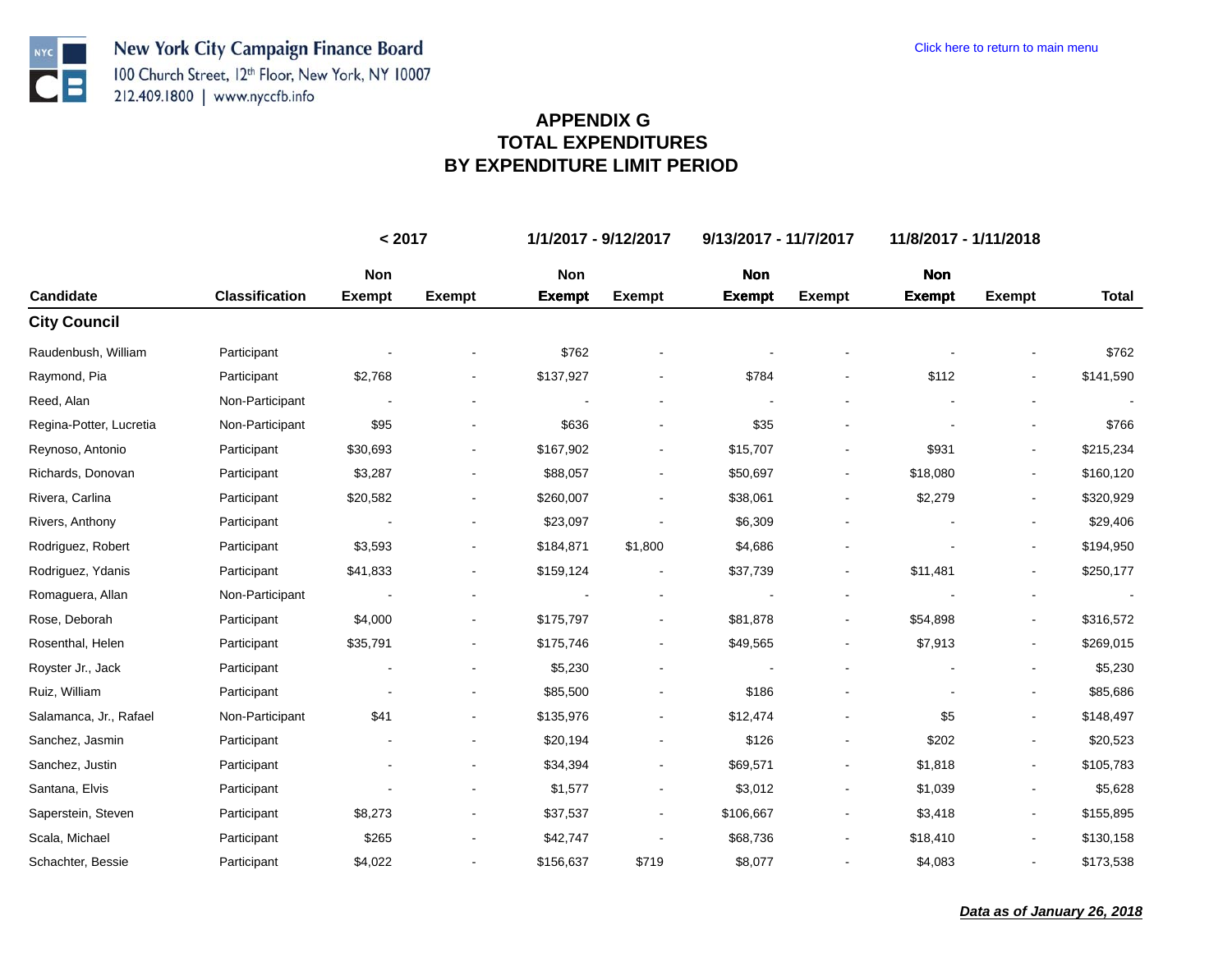**NYC** 

 $\overline{\mathbf{C}}$  :

|                         |                       | < 2017        |                | 1/1/2017 - 9/12/2017 |                          | 9/13/2017 - 11/7/2017 |               | 11/8/2017 - 1/11/2018 |                          |              |
|-------------------------|-----------------------|---------------|----------------|----------------------|--------------------------|-----------------------|---------------|-----------------------|--------------------------|--------------|
|                         |                       | Non           |                | Non                  |                          | <b>Non</b>            |               | <b>Non</b>            |                          |              |
| Candidate               | <b>Classification</b> | <b>Exempt</b> | <b>Exempt</b>  | <b>Exempt</b>        | <b>Exempt</b>            | <b>Exempt</b>         | <b>Exempt</b> | <b>Exempt</b>         | <b>Exempt</b>            | <b>Total</b> |
| <b>City Council</b>     |                       |               |                |                      |                          |                       |               |                       |                          |              |
| Raudenbush, William     | Participant           |               |                | \$762                |                          |                       |               |                       |                          | \$762        |
| Raymond, Pia            | Participant           | \$2,768       |                | \$137,927            |                          | \$784                 |               | \$112                 | $\blacksquare$           | \$141,590    |
| Reed, Alan              | Non-Participant       |               |                |                      |                          |                       |               |                       |                          |              |
| Regina-Potter, Lucretia | Non-Participant       | \$95          |                | \$636                | $\overline{\phantom{a}}$ | \$35                  |               |                       | $\overline{\phantom{a}}$ | \$766        |
| Reynoso, Antonio        | Participant           | \$30,693      |                | \$167,902            |                          | \$15,707              |               | \$931                 |                          | \$215,234    |
| Richards, Donovan       | Participant           | \$3,287       |                | \$88,057             | $\overline{\phantom{a}}$ | \$50,697              |               | \$18,080              |                          | \$160,120    |
| Rivera, Carlina         | Participant           | \$20,582      |                | \$260,007            |                          | \$38,061              |               | \$2,279               |                          | \$320,929    |
| Rivers, Anthony         | Participant           |               |                | \$23,097             |                          | \$6,309               |               |                       |                          | \$29,406     |
| Rodriguez, Robert       | Participant           | \$3,593       |                | \$184,871            | \$1,800                  | \$4,686               |               |                       | $\blacksquare$           | \$194,950    |
| Rodriguez, Ydanis       | Participant           | \$41,833      |                | \$159,124            |                          | \$37,739              |               | \$11,481              |                          | \$250,177    |
| Romaguera, Allan        | Non-Participant       |               |                |                      |                          |                       |               |                       |                          |              |
| Rose, Deborah           | Participant           | \$4,000       | -              | \$175,797            |                          | \$81,878              |               | \$54,898              |                          | \$316,572    |
| Rosenthal, Helen        | Participant           | \$35,791      |                | \$175,746            | $\blacksquare$           | \$49,565              |               | \$7,913               | $\overline{\phantom{a}}$ | \$269,015    |
| Royster Jr., Jack       | Participant           |               |                | \$5,230              |                          |                       |               |                       |                          | \$5,230      |
| Ruiz, William           | Participant           |               |                | \$85,500             |                          | \$186                 |               |                       |                          | \$85,686     |
| Salamanca, Jr., Rafael  | Non-Participant       | \$41          |                | \$135,976            |                          | \$12,474              |               | \$5                   | $\blacksquare$           | \$148,497    |
| Sanchez, Jasmin         | Participant           |               |                | \$20,194             |                          | \$126                 |               | \$202                 |                          | \$20,523     |
| Sanchez, Justin         | Participant           |               | $\blacksquare$ | \$34,394             | $\blacksquare$           | \$69,571              |               | \$1,818               | $\blacksquare$           | \$105,783    |
| Santana, Elvis          | Participant           |               |                | \$1,577              |                          | \$3,012               |               | \$1,039               |                          | \$5,628      |
| Saperstein, Steven      | Participant           | \$8,273       |                | \$37,537             |                          | \$106,667             |               | \$3,418               | $\blacksquare$           | \$155,895    |
| Scala, Michael          | Participant           | \$265         |                | \$42,747             |                          | \$68,736              |               | \$18,410              |                          | \$130,158    |
| Schachter, Bessie       | Participant           | \$4,022       |                | \$156,637            | \$719                    | \$8,077               |               | \$4,083               |                          | \$173,538    |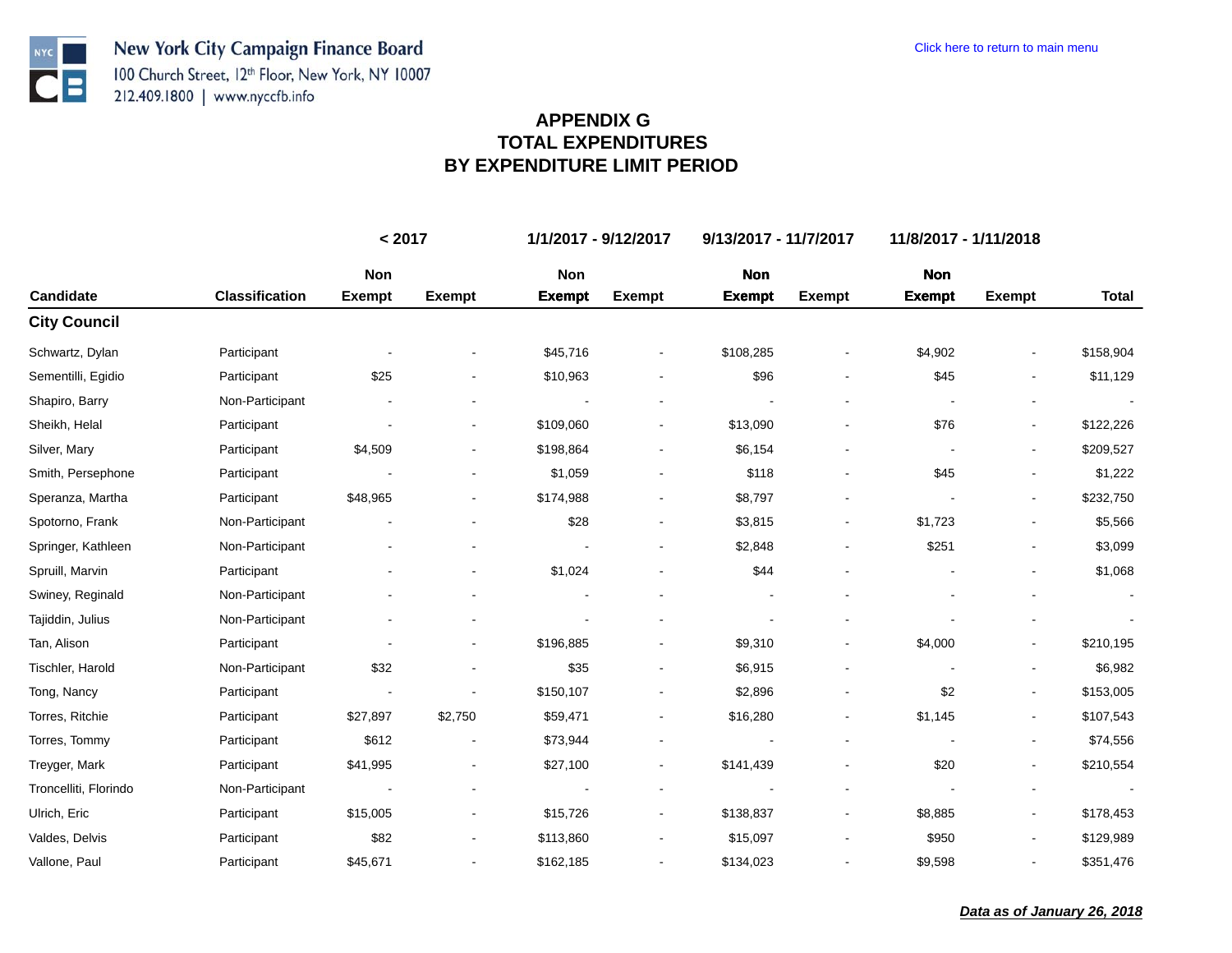**NYC** 

 $\bullet$   $\blacksquare$ 

|                       |                       | < 2017        |                | 1/1/2017 - 9/12/2017<br>9/13/2017 - 11/7/2017 |                          |               |               | 11/8/2017 - 1/11/2018 |                          |                |
|-----------------------|-----------------------|---------------|----------------|-----------------------------------------------|--------------------------|---------------|---------------|-----------------------|--------------------------|----------------|
|                       |                       | Non           |                | Non                                           |                          | <b>Non</b>    |               | <b>Non</b>            |                          |                |
| Candidate             | <b>Classification</b> | <b>Exempt</b> | <b>Exempt</b>  | <b>Exempt</b>                                 | <b>Exempt</b>            | <b>Exempt</b> | <b>Exempt</b> | <b>Exempt</b>         | <b>Exempt</b>            | <b>Total</b>   |
| <b>City Council</b>   |                       |               |                |                                               |                          |               |               |                       |                          |                |
| Schwartz, Dylan       | Participant           |               |                | \$45,716                                      |                          | \$108,285     |               | \$4,902               |                          | \$158,904      |
| Sementilli, Egidio    | Participant           | \$25          |                | \$10,963                                      |                          | \$96          |               | \$45                  |                          | \$11,129       |
| Shapiro, Barry        | Non-Participant       |               |                |                                               | $\blacksquare$           |               |               |                       |                          |                |
| Sheikh, Helal         | Participant           |               | $\blacksquare$ | \$109,060                                     | $\overline{\phantom{a}}$ | \$13,090      |               | \$76                  |                          | \$122,226      |
| Silver, Mary          | Participant           | \$4,509       |                | \$198,864                                     |                          | \$6,154       |               |                       |                          | \$209,527      |
| Smith, Persephone     | Participant           |               |                | \$1,059                                       |                          | \$118         |               | \$45                  |                          | \$1,222        |
| Speranza, Martha      | Participant           | \$48,965      |                | \$174,988                                     |                          | \$8,797       |               |                       |                          | \$232,750      |
| Spotorno, Frank       | Non-Participant       |               |                | \$28                                          |                          | \$3,815       |               | \$1,723               |                          | \$5,566        |
| Springer, Kathleen    | Non-Participant       |               |                |                                               | $\blacksquare$           | \$2,848       |               | \$251                 |                          | \$3,099        |
| Spruill, Marvin       | Participant           |               |                | \$1,024                                       |                          | \$44          |               |                       |                          | \$1,068        |
| Swiney, Reginald      | Non-Participant       |               |                |                                               |                          |               |               |                       |                          | $\blacksquare$ |
| Tajiddin, Julius      | Non-Participant       |               |                |                                               |                          |               |               |                       |                          |                |
| Tan, Alison           | Participant           |               |                | \$196,885                                     |                          | \$9,310       |               | \$4,000               |                          | \$210,195      |
| Tischler, Harold      | Non-Participant       | \$32          |                | \$35                                          |                          | \$6,915       |               |                       |                          | \$6,982        |
| Tong, Nancy           | Participant           |               |                | \$150,107                                     |                          | \$2,896       |               | \$2                   |                          | \$153,005      |
| Torres, Ritchie       | Participant           | \$27,897      | \$2,750        | \$59,471                                      | $\blacksquare$           | \$16,280      |               | \$1,145               | $\overline{\phantom{a}}$ | \$107,543      |
| Torres, Tommy         | Participant           | \$612         |                | \$73,944                                      |                          |               |               |                       |                          | \$74,556       |
| Treyger, Mark         | Participant           | \$41,995      |                | \$27,100                                      | $\blacksquare$           | \$141,439     |               | \$20                  |                          | \$210,554      |
| Troncelliti, Florindo | Non-Participant       |               |                |                                               |                          |               |               |                       |                          |                |
| Ulrich, Eric          | Participant           | \$15,005      | ۰              | \$15,726                                      | $\blacksquare$           | \$138,837     |               | \$8,885               |                          | \$178,453      |
| Valdes, Delvis        | Participant           | \$82          |                | \$113,860                                     |                          | \$15,097      |               | \$950                 |                          | \$129,989      |
| Vallone, Paul         | Participant           | \$45,671      |                | \$162,185                                     | $\overline{\phantom{a}}$ | \$134,023     |               | \$9,598               |                          | \$351,476      |